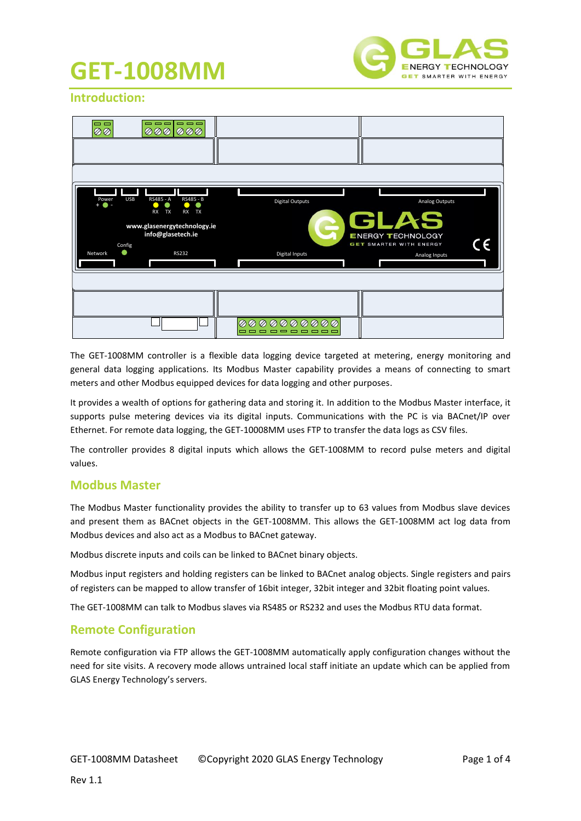

### **Introduction:**

| $\qquad \qquad \blacksquare \; \blacksquare \; \blacksquare \; \blacksquare$<br>$= 1$<br>$\overline{\otimes} \overline{\otimes} \overline{\otimes}$<br>ののの<br>ØØ             |                                                 |                                                                                                                    |
|------------------------------------------------------------------------------------------------------------------------------------------------------------------------------|-------------------------------------------------|--------------------------------------------------------------------------------------------------------------------|
| <b>USB</b><br>RS485 - A<br>RS485 - B<br>Power<br>+<br>RX TX<br><b>RX</b><br>TX<br>www.glasenergytechnology.ie<br>info@glasetech.ie<br>Config<br>۰<br><b>RS232</b><br>Network | <b>Digital Outputs</b><br><b>Digital Inputs</b> | Analog Outputs<br><b>GLAS</b><br><b>ENERGY TECHNOLOGY</b><br>GET SMARTER WITH ENERGY<br><b>TA</b><br>Analog Inputs |
|                                                                                                                                                                              | 000000000<br>Ø<br>⊘<br>---------<br>▭           |                                                                                                                    |

The GET-1008MM controller is a flexible data logging device targeted at metering, energy monitoring and general data logging applications. Its Modbus Master capability provides a means of connecting to smart meters and other Modbus equipped devices for data logging and other purposes.

It provides a wealth of options for gathering data and storing it. In addition to the Modbus Master interface, it supports pulse metering devices via its digital inputs. Communications with the PC is via BACnet/IP over Ethernet. For remote data logging, the GET-10008MM uses FTP to transfer the data logs as CSV files.

The controller provides 8 digital inputs which allows the GET-1008MM to record pulse meters and digital values.

#### **Modbus Master**

The Modbus Master functionality provides the ability to transfer up to 63 values from Modbus slave devices and present them as BACnet objects in the GET-1008MM. This allows the GET-1008MM act log data from Modbus devices and also act as a Modbus to BACnet gateway.

Modbus discrete inputs and coils can be linked to BACnet binary objects.

Modbus input registers and holding registers can be linked to BACnet analog objects. Single registers and pairs of registers can be mapped to allow transfer of 16bit integer, 32bit integer and 32bit floating point values.

The GET-1008MM can talk to Modbus slaves via RS485 or RS232 and uses the Modbus RTU data format.

### **Remote Configuration**

Remote configuration via FTP allows the GET-1008MM automatically apply configuration changes without the need for site visits. A recovery mode allows untrained local staff initiate an update which can be applied from GLAS Energy Technology's servers.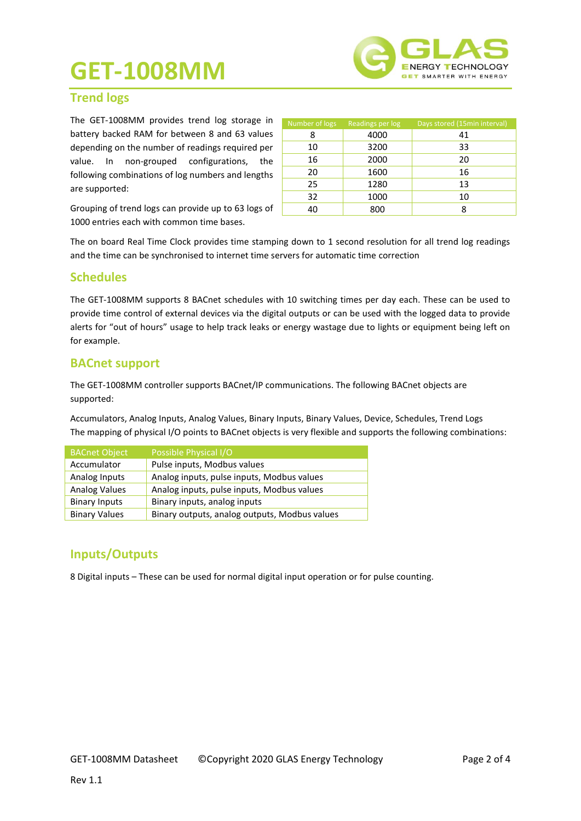

### **Trend logs**

The GET-1008MM provides trend log storage in battery backed RAM for between 8 and 63 values depending on the number of readings required per value. In non-grouped configurations, the following combinations of log numbers and lengths are supported:

Number of logs Readings per log Days stored (15min interval) 8 4000 41 10 3200 33 16 2000 20 20 1600 16 25 1280 13 32 1000 10 40 800 8

Grouping of trend logs can provide up to 63 logs of 1000 entries each with common time bases.

The on board Real Time Clock provides time stamping down to 1 second resolution for all trend log readings and the time can be synchronised to internet time servers for automatic time correction

### **Schedules**

The GET-1008MM supports 8 BACnet schedules with 10 switching times per day each. These can be used to provide time control of external devices via the digital outputs or can be used with the logged data to provide alerts for "out of hours" usage to help track leaks or energy wastage due to lights or equipment being left on for example.

### **BACnet support**

The GET-1008MM controller supports BACnet/IP communications. The following BACnet objects are supported:

Accumulators, Analog Inputs, Analog Values, Binary Inputs, Binary Values, Device, Schedules, Trend Logs The mapping of physical I/O points to BACnet objects is very flexible and supports the following combinations:

| <b>BACnet Object</b> | Possible Physical I/O                         |
|----------------------|-----------------------------------------------|
| Accumulator          | Pulse inputs, Modbus values                   |
| Analog Inputs        | Analog inputs, pulse inputs, Modbus values    |
| <b>Analog Values</b> | Analog inputs, pulse inputs, Modbus values    |
| <b>Binary Inputs</b> | Binary inputs, analog inputs                  |
| <b>Binary Values</b> | Binary outputs, analog outputs, Modbus values |

### **Inputs/Outputs**

8 Digital inputs – These can be used for normal digital input operation or for pulse counting.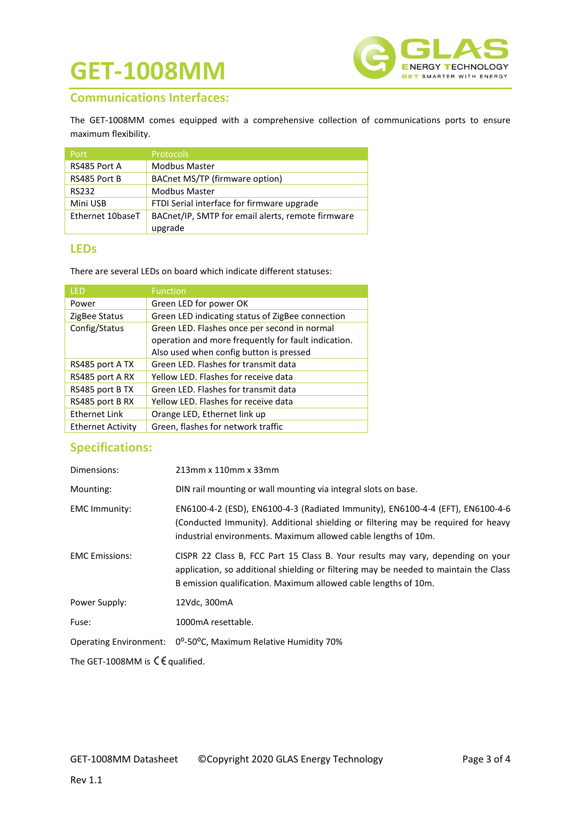

### **Communications Interfaces:**

The GET-1008MM comes equipped with a comprehensive collection of communications ports to ensure maximum flexibility.

| Port             | <b>Protocols</b>                                  |
|------------------|---------------------------------------------------|
| RS485 Port A     | <b>Modbus Master</b>                              |
| RS485 Port B     | BACnet MS/TP (firmware option)                    |
| <b>RS232</b>     | <b>Modbus Master</b>                              |
| Mini USB         | FTDI Serial interface for firmware upgrade        |
| Ethernet 10baseT | BACnet/IP, SMTP for email alerts, remote firmware |
|                  | upgrade                                           |

#### **LEDs**

There are several LEDs on board which indicate different statuses:

| LED                      | <b>Function</b>                                     |
|--------------------------|-----------------------------------------------------|
| Power                    | Green LED for power OK                              |
| ZigBee Status            | Green LED indicating status of ZigBee connection    |
| Config/Status            | Green LED. Flashes once per second in normal        |
|                          | operation and more frequently for fault indication. |
|                          | Also used when config button is pressed             |
| RS485 port A TX          | Green LED. Flashes for transmit data                |
| RS485 port A RX          | Yellow LED. Flashes for receive data                |
| RS485 port B TX          | Green LED. Flashes for transmit data                |
| RS485 port B RX          | Yellow LED. Flashes for receive data                |
| <b>Ethernet Link</b>     | Orange LED, Ethernet link up                        |
| <b>Ethernet Activity</b> | Green, flashes for network traffic                  |

## **Specifications:**

| Dimensions:                                         | 213mm x 110mm x 33mm                                                                                                                                                                                                                        |  |
|-----------------------------------------------------|---------------------------------------------------------------------------------------------------------------------------------------------------------------------------------------------------------------------------------------------|--|
| Mounting:                                           | DIN rail mounting or wall mounting via integral slots on base.                                                                                                                                                                              |  |
| <b>EMC Immunity:</b>                                | EN6100-4-2 (ESD), EN6100-4-3 (Radiated Immunity), EN6100-4-4 (EFT), EN6100-4-6<br>(Conducted Immunity). Additional shielding or filtering may be required for heavy<br>industrial environments. Maximum allowed cable lengths of 10m.       |  |
| <b>EMC</b> Emissions:                               | CISPR 22 Class B, FCC Part 15 Class B. Your results may vary, depending on your<br>application, so additional shielding or filtering may be needed to maintain the Class<br>B emission qualification. Maximum allowed cable lengths of 10m. |  |
| Power Supply:                                       | 12Vdc, 300mA                                                                                                                                                                                                                                |  |
| Fuse:                                               | 1000mA resettable.                                                                                                                                                                                                                          |  |
| <b>Operating Environment:</b>                       | 0°-50°C, Maximum Relative Humidity 70%                                                                                                                                                                                                      |  |
| The GET-1008MM is $\mathsf{C}\mathsf{E}$ qualified. |                                                                                                                                                                                                                                             |  |